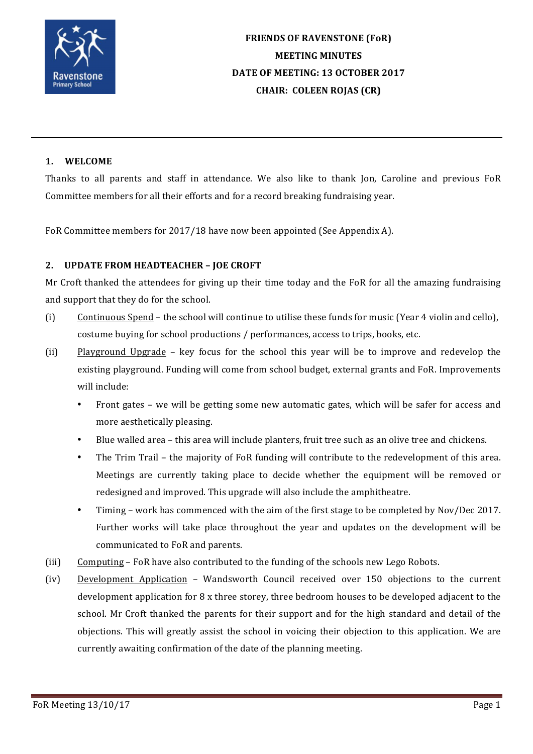

# **FRIENDS OF RAVENSTONE (FoR) MEETING MINUTES** DATE OF MEETING: 13 OCTOBER 2017 **CHAIR: COLEEN ROJAS (CR)**

## **1. WELCOME**

Thanks to all parents and staff in attendance. We also like to thank Jon, Caroline and previous FoR Committee members for all their efforts and for a record breaking fundraising year.

FoR Committee members for 2017/18 have now been appointed (See Appendix A).

## **2. UPDATE FROM HEADTEACHER - JOE CROFT**

Mr Croft thanked the attendees for giving up their time today and the FoR for all the amazing fundraising and support that they do for the school.

- (i) Continuous Spend the school will continue to utilise these funds for music (Year 4 violin and cello), costume buying for school productions / performances, access to trips, books, etc.
- (ii) Playground Upgrade key focus for the school this year will be to improve and redevelop the existing playground. Funding will come from school budget, external grants and FoR. Improvements will include:
	- Front gates we will be getting some new automatic gates, which will be safer for access and more aesthetically pleasing.
	- Blue walled area this area will include planters, fruit tree such as an olive tree and chickens.
	- The Trim Trail the majority of FoR funding will contribute to the redevelopment of this area. Meetings are currently taking place to decide whether the equipment will be removed or redesigned and improved. This upgrade will also include the amphitheatre.
	- Timing work has commenced with the aim of the first stage to be completed by Nov/Dec 2017. Further works will take place throughout the year and updates on the development will be communicated to FoR and parents.
- (iii) Computing FoR have also contributed to the funding of the schools new Lego Robots.
- (iv) Development Application Wandsworth Council received over 150 objections to the current development application for  $8 \times$  three storey, three bedroom houses to be developed adjacent to the school. Mr Croft thanked the parents for their support and for the high standard and detail of the objections. This will greatly assist the school in voicing their objection to this application. We are currently awaiting confirmation of the date of the planning meeting.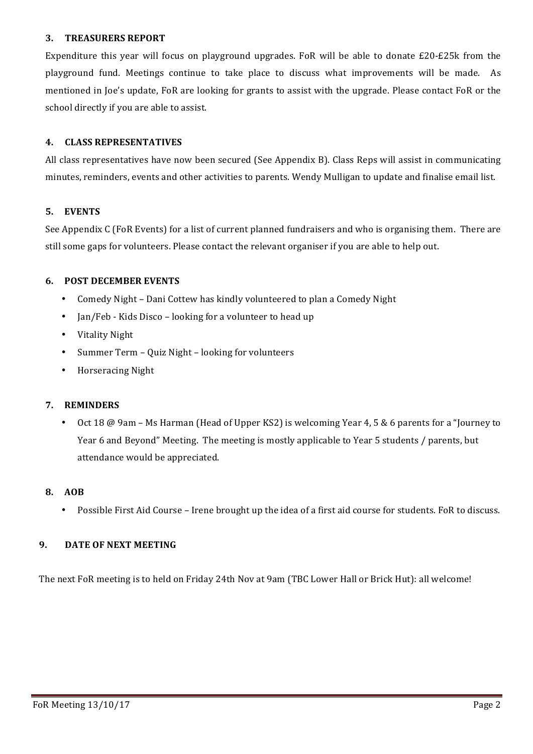## **3. TREASURERS REPORT**

Expenditure this year will focus on playground upgrades. FoR will be able to donate  $£20-E25k$  from the playground fund. Meetings continue to take place to discuss what improvements will be made. As mentioned in Joe's update, FoR are looking for grants to assist with the upgrade. Please contact FoR or the school directly if you are able to assist.

## **4. CLASS REPRESENTATIVES**

All class representatives have now been secured (See Appendix B). Class Reps will assist in communicating minutes, reminders, events and other activities to parents. Wendy Mulligan to update and finalise email list.

## **5. EVENTS**

See Appendix C (FoR Events) for a list of current planned fundraisers and who is organising them. There are still some gaps for volunteers. Please contact the relevant organiser if you are able to help out.

## **6. POST DECEMBER EVENTS**

- Comedy Night Dani Cottew has kindly volunteered to plan a Comedy Night
- Jan/Feb Kids Disco looking for a volunteer to head up
- Vitality Night
- Summer Term Quiz Night looking for volunteers
- Horseracing Night

#### **7. REMINDERS**

Oct 18 @ 9am – Ms Harman (Head of Upper KS2) is welcoming Year 4, 5 & 6 parents for a "Journey to Year 6 and Beyond" Meeting. The meeting is mostly applicable to Year 5 students / parents, but attendance would be appreciated.

#### **8. AOB**

Possible First Aid Course - Irene brought up the idea of a first aid course for students. FoR to discuss.

## **9. DATE OF NEXT MEETING**

The next FoR meeting is to held on Friday 24th Nov at 9am (TBC Lower Hall or Brick Hut): all welcome!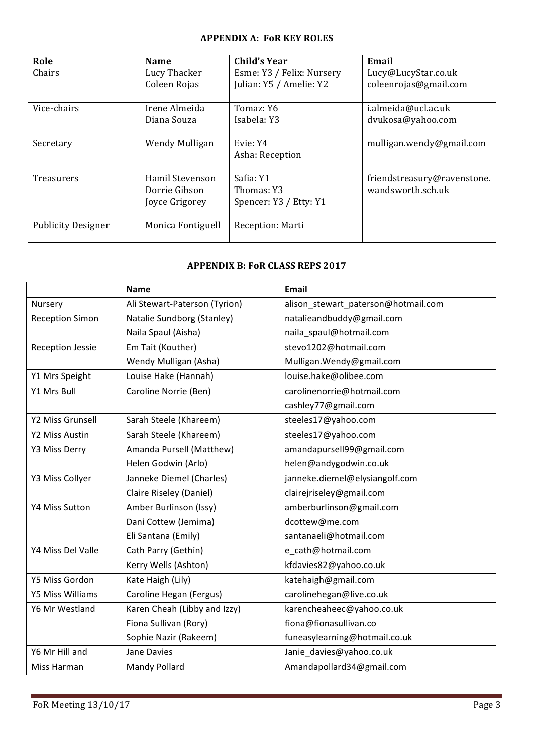## **APPENDIX A: FoR KEY ROLES**

| Role                      | <b>Name</b>       | Child's Year              | Email                       |
|---------------------------|-------------------|---------------------------|-----------------------------|
| Chairs                    | Lucy Thacker      | Esme: Y3 / Felix: Nursery | Lucy@LucyStar.co.uk         |
|                           | Coleen Rojas      | Julian: Y5 / Amelie: Y2   | coleenrojas@gmail.com       |
| Vice-chairs               | Irene Almeida     | Tomaz: Y6                 | i.almeida@ucl.ac.uk         |
|                           |                   |                           |                             |
|                           | Diana Souza       | Isabela: Y3               | dvukosa@yahoo.com           |
|                           |                   |                           |                             |
| Secretary                 | Wendy Mulligan    | Evie: Y4                  | mulligan.wendy@gmail.com    |
|                           |                   | Asha: Reception           |                             |
|                           |                   |                           |                             |
| <b>Treasurers</b>         | Hamil Stevenson   | Safia: Y1                 | friendstreasury@ravenstone. |
|                           | Dorrie Gibson     | Thomas: Y3                | wandsworth.sch.uk           |
|                           | Joyce Grigorey    | Spencer: Y3 / Etty: Y1    |                             |
|                           |                   |                           |                             |
| <b>Publicity Designer</b> | Monica Fontiguell | Reception: Marti          |                             |
|                           |                   |                           |                             |

## **APPENDIX B: FoR CLASS REPS 2017**

|                         | <b>Name</b>                   | <b>Email</b>                        |  |
|-------------------------|-------------------------------|-------------------------------------|--|
| Nursery                 | Ali Stewart-Paterson (Tyrion) | alison_stewart_paterson@hotmail.com |  |
| <b>Reception Simon</b>  | Natalie Sundborg (Stanley)    | natalieandbuddy@gmail.com           |  |
|                         | Naila Spaul (Aisha)           | naila_spaul@hotmail.com             |  |
| <b>Reception Jessie</b> | Em Tait (Kouther)             | stevo1202@hotmail.com               |  |
|                         | Wendy Mulligan (Asha)         | Mulligan. Wendy@gmail.com           |  |
| Y1 Mrs Speight          | Louise Hake (Hannah)          | louise.hake@olibee.com              |  |
| Y1 Mrs Bull             | Caroline Norrie (Ben)         | carolinenorrie@hotmail.com          |  |
|                         |                               | cashley77@gmail.com                 |  |
| Y2 Miss Grunsell        | Sarah Steele (Khareem)        | steeles17@yahoo.com                 |  |
| Y2 Miss Austin          | Sarah Steele (Khareem)        | steeles17@yahoo.com                 |  |
| Y3 Miss Derry           | Amanda Pursell (Matthew)      | amandapursell99@gmail.com           |  |
|                         | Helen Godwin (Arlo)           | helen@andygodwin.co.uk              |  |
| Y3 Miss Collyer         | Janneke Diemel (Charles)      | janneke.diemel@elysiangolf.com      |  |
|                         | Claire Riseley (Daniel)       | clairejriseley@gmail.com            |  |
| Y4 Miss Sutton          | Amber Burlinson (Issy)        | amberburlinson@gmail.com            |  |
|                         | Dani Cottew (Jemima)          | dcottew@me.com                      |  |
|                         | Eli Santana (Emily)           | santanaeli@hotmail.com              |  |
| Y4 Miss Del Valle       | Cath Parry (Gethin)           | e_cath@hotmail.com                  |  |
|                         | Kerry Wells (Ashton)          | kfdavies82@yahoo.co.uk              |  |
| Y5 Miss Gordon          | Kate Haigh (Lily)             | katehaigh@gmail.com                 |  |
| Y5 Miss Williams        | Caroline Hegan (Fergus)       | carolinehegan@live.co.uk            |  |
| Y6 Mr Westland          | Karen Cheah (Libby and Izzy)  | karencheaheec@yahoo.co.uk           |  |
|                         | Fiona Sullivan (Rory)         | fiona@fionasullivan.co              |  |
|                         | Sophie Nazir (Rakeem)         | funeasylearning@hotmail.co.uk       |  |
| Y6 Mr Hill and          | <b>Jane Davies</b>            | Janie_davies@yahoo.co.uk            |  |
| Miss Harman             | Mandy Pollard                 | Amandapollard34@gmail.com           |  |